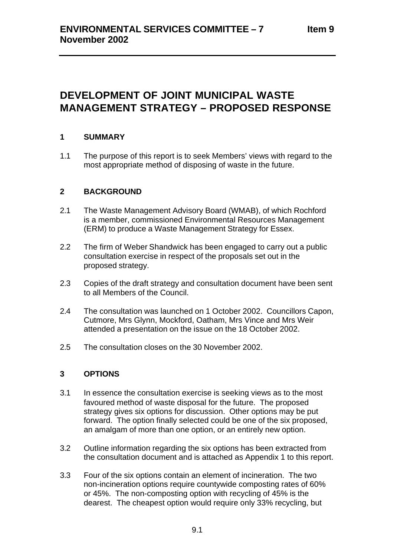# **DEVELOPMENT OF JOINT MUNICIPAL WASTE MANAGEMENT STRATEGY – PROPOSED RESPONSE**

# **1 SUMMARY**

1.1 The purpose of this report is to seek Members' views with regard to the most appropriate method of disposing of waste in the future.

# **2 BACKGROUND**

- 2.1 The Waste Management Advisory Board (WMAB), of which Rochford is a member, commissioned Environmental Resources Management (ERM) to produce a Waste Management Strategy for Essex.
- 2.2 The firm of Weber Shandwick has been engaged to carry out a public consultation exercise in respect of the proposals set out in the proposed strategy.
- 2.3 Copies of the draft strategy and consultation document have been sent to all Members of the Council.
- 2.4 The consultation was launched on 1 October 2002. Councillors Capon, Cutmore, Mrs Glynn, Mockford, Oatham, Mrs Vince and Mrs Weir attended a presentation on the issue on the 18 October 2002.
- 2.5 The consultation closes on the 30 November 2002.

# **3 OPTIONS**

- 3.1 In essence the consultation exercise is seeking views as to the most favoured method of waste disposal for the future. The proposed strategy gives six options for discussion. Other options may be put forward. The option finally selected could be one of the six proposed, an amalgam of more than one option, or an entirely new option.
- 3.2 Outline information regarding the six options has been extracted from the consultation document and is attached as Appendix 1 to this report.
- 3.3 Four of the six options contain an element of incineration. The two non-incineration options require countywide composting rates of 60% or 45%. The non-composting option with recycling of 45% is the dearest. The cheapest option would require only 33% recycling, but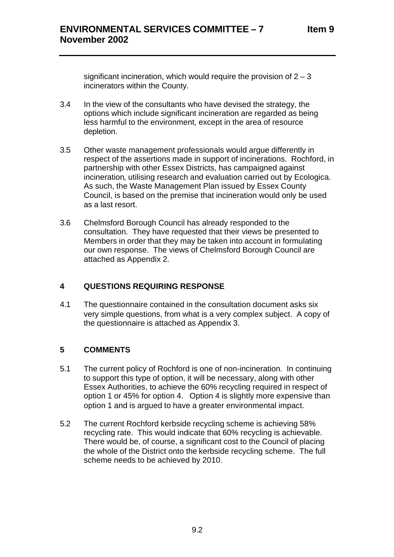significant incineration, which would require the provision of  $2 - 3$ incinerators within the County.

- 3.4 In the view of the consultants who have devised the strategy, the options which include significant incineration are regarded as being less harmful to the environment, except in the area of resource depletion.
- 3.5 Other waste management professionals would argue differently in respect of the assertions made in support of incinerations. Rochford, in partnership with other Essex Districts, has campaigned against incineration, utilising research and evaluation carried out by Ecologica. As such, the Waste Management Plan issued by Essex County Council, is based on the premise that incineration would only be used as a last resort.
- 3.6 Chelmsford Borough Council has already responded to the consultation. They have requested that their views be presented to Members in order that they may be taken into account in formulating our own response. The views of Chelmsford Borough Council are attached as Appendix 2.

# **4 QUESTIONS REQUIRING RESPONSE**

4.1 The questionnaire contained in the consultation document asks six very simple questions, from what is a very complex subject. A copy of the questionnaire is attached as Appendix 3.

# **5 COMMENTS**

- 5.1 The current policy of Rochford is one of non-incineration. In continuing to support this type of option, it will be necessary, along with other Essex Authorities, to achieve the 60% recycling required in respect of option 1 or 45% for option 4. Option 4 is slightly more expensive than option 1 and is argued to have a greater environmental impact.
- 5.2 The current Rochford kerbside recycling scheme is achieving 58% recycling rate. This would indicate that 60% recycling is achievable. There would be, of course, a significant cost to the Council of placing the whole of the District onto the kerbside recycling scheme. The full scheme needs to be achieved by 2010.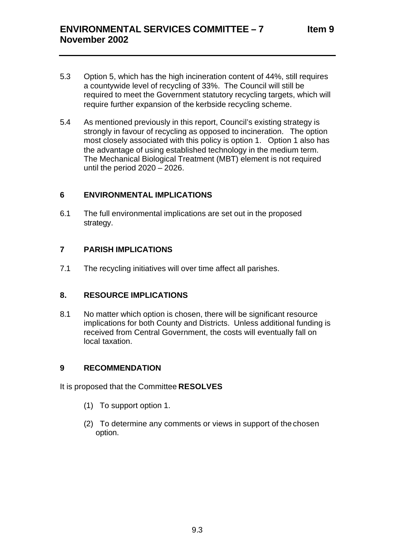- 5.3 Option 5, which has the high incineration content of 44%, still requires a countywide level of recycling of 33%. The Council will still be required to meet the Government statutory recycling targets, which will require further expansion of the kerbside recycling scheme.
- 5.4 As mentioned previously in this report, Council's existing strategy is strongly in favour of recycling as opposed to incineration. The option most closely associated with this policy is option 1. Option 1 also has the advantage of using established technology in the medium term. The Mechanical Biological Treatment (MBT) element is not required until the period 2020 – 2026.

# **6 ENVIRONMENTAL IMPLICATIONS**

6.1 The full environmental implications are set out in the proposed strategy.

# **7 PARISH IMPLICATIONS**

7.1 The recycling initiatives will over time affect all parishes.

## **8. RESOURCE IMPLICATIONS**

8.1 No matter which option is chosen, there will be significant resource implications for both County and Districts. Unless additional funding is received from Central Government, the costs will eventually fall on local taxation.

## **9 RECOMMENDATION**

It is proposed that the Committee **RESOLVES**

- (1) To support option 1.
- (2) To determine any comments or views in support of the chosen option.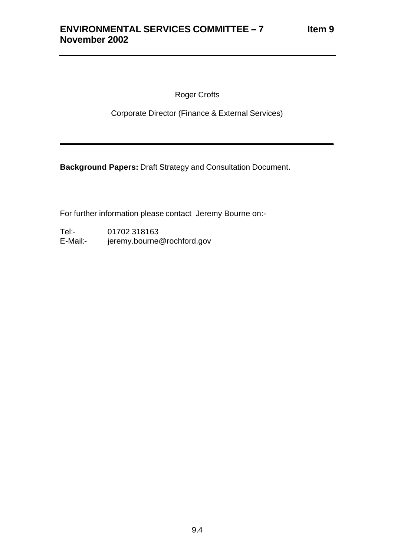Roger Crofts

Corporate Director (Finance & External Services)

\_\_\_\_\_\_\_\_\_\_\_\_\_\_\_\_\_\_\_\_\_\_\_\_\_\_\_\_\_\_\_\_\_\_\_\_\_\_\_\_\_\_\_\_\_\_\_\_\_\_\_\_\_\_\_\_\_\_\_\_\_\_

**Background Papers:** Draft Strategy and Consultation Document.

For further information please contact Jeremy Bourne on:-

Tel:- 01702 318163 E-Mail:- jeremy.bourne@rochford.gov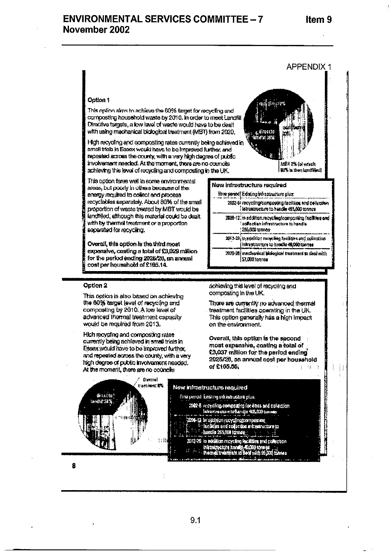-

# ENVIRONMENTAL SERVICES COMMITTEE - 7 November 2002

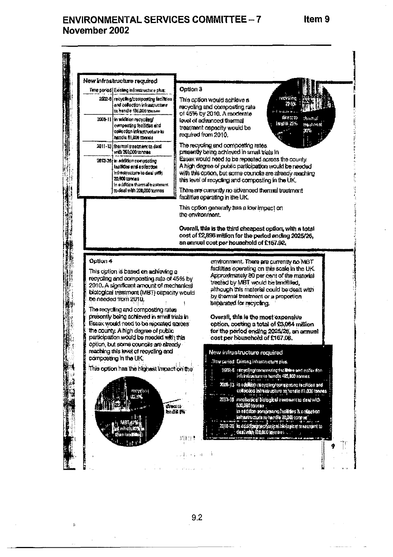# ENVIRONMENTAL SERVICES COMMITTEE - 7 November 2002



 $9.2$ 

Item 9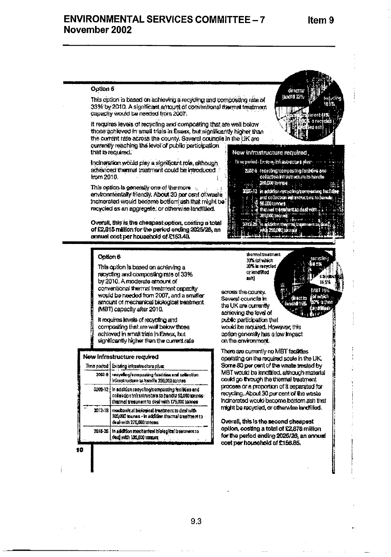du act to landfill 27%

# **ENVIRONMENTAL SERVICES COMMITTEE - 7** November 2002

## Option 5

This option is based on achieving a recycling and compositing rate of 33% by 2010. A significant amount of conventional diarmal treatment capacity would be needed from 2007.

It requires levels of recycling and composing that are well below those achieved in small trials in Essex, but significantly higher than the corrent rate across the county. Soveral councils in the UK are currently reaching the level of public participation. that is required. Now initiastructure required.

Inconeration would play a significant role, although advanced thermal traatment could be introduced from 2010.

This option is generally one of the more and environmentally friendly. About 30 per cent of waste inclnerated would become bottom ash that might be recycled as an aggregate, or otherwise landfilled.

Overall, this is the cheapast option, costing a total of £2.815 million for the period ending 2025/26, an annual cost per household of £153.49.

#### Ootlon 6

This option is based on achieving a recycling and composing rate of 33% by 2010. A moderate amount of conventional thermal treatment capacity would be needed from 2007, and a smaller amount of mechanical biological treatment. (MBT) capacity after 2010.

It requires levels of recycling and compositing that are wall below those achieved in small trials in Easex, but significantly higher than the current rate

#### New Infrastructure regulred

10

|        | Time period   Existing infrestructure plus:                                                                                                                 |  |  |  |  |  |
|--------|-------------------------------------------------------------------------------------------------------------------------------------------------------------|--|--|--|--|--|
| 2002 O | recyclog/composting (abilities and collection<br>Intrastructure to handle 390,090 tonnes                                                                    |  |  |  |  |  |
|        | 2008-12 in addition recycling composing for burs and<br>collection infrastructure to handle 50,000 tonnes-<br>thermal treatment to deal with 175,000 (annew |  |  |  |  |  |
|        | 2012-18   mochasical biological treatment to deni with<br>RELIAD manes - in addition thermal treatment to<br>deal with 275,000 tonces                       |  |  |  |  |  |
|        | 2018-26 In a milition muchanised blotogical treatment to<br>deal with 136,000 tonnes                                                                        |  |  |  |  |  |

thormal treatment 33% (of which 30% in meyelod or landimod mhì

across the county. Several councils in the UK are currently achieving the level of public participation that would be registed. However, this option generally has a low impact on the environment.

There are currently no MBT facilities operating on the required scale in the UK. Some 80 per cent of the waste treated by MBT would be landfilled, although material could go through the thermal treatment process or a proportion of it separated for recycling. About 30 per cent of the waste incinerated would become bottom aen that might be recycled, or otherwise landfilled.

Overall, this is the second cheapest option, costing a total of £2,878 million for the period ending 2025/26, an annual cost per household of £156.85.



Finse period - Existing Infrastrations plus -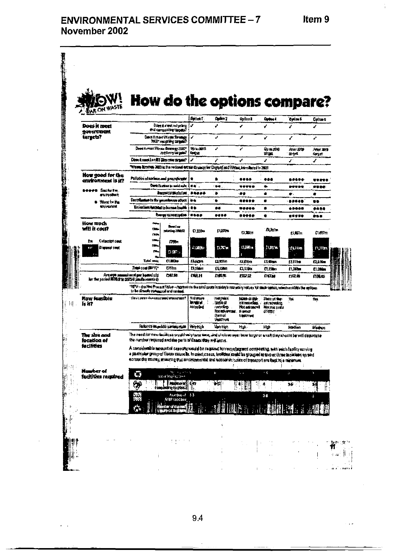$\bar{a}$ 

 $\frac{1}{4}$ 

# ENVIRONMENTAL SERVICES COMMITTEE - 7 November 2002

|   |                                                                                   |                                                                                                                                                                                                                                                                                                                                                                                                                                                                                                                                     |                                                         |                                          | <b>How do the options compare?</b>                                                 |                                                                                |                                                    |                  |                |  |
|---|-----------------------------------------------------------------------------------|-------------------------------------------------------------------------------------------------------------------------------------------------------------------------------------------------------------------------------------------------------------------------------------------------------------------------------------------------------------------------------------------------------------------------------------------------------------------------------------------------------------------------------------|---------------------------------------------------------|------------------------------------------|------------------------------------------------------------------------------------|--------------------------------------------------------------------------------|----------------------------------------------------|------------------|----------------|--|
|   | ON WASTE                                                                          |                                                                                                                                                                                                                                                                                                                                                                                                                                                                                                                                     |                                                         | Dollar f                                 | <b>Option 7</b>                                                                    | Oxfor 1                                                                        | اجتابا                                             | <b>Optimas</b>   | Optice 6       |  |
|   | Does it meet<br>government                                                        | Down it want recentling<br>erd corresting tages?                                                                                                                                                                                                                                                                                                                                                                                                                                                                                    |                                                         | مي                                       | J                                                                                  | v                                                                              | ٠                                                  | Ì                | ◢              |  |
|   | targets?                                                                          | Desa Italian Vivan Simmon<br>3300° range ting sarajang ?                                                                                                                                                                                                                                                                                                                                                                                                                                                                            |                                                         | ◢                                        | مى                                                                                 | ∕                                                                              | Ÿ                                                  | ✔                | ÷.             |  |
|   |                                                                                   | Doos it meet Wasse Strang gr 2007                                                                                                                                                                                                                                                                                                                                                                                                                                                                                                   |                                                         | 市知期計                                     | J.                                                                                 | ✔                                                                              | Up system                                          | Atlan 2019       | 小石 助け          |  |
|   |                                                                                   | <b>Jection of Great</b><br>Dose democ loved) Henryke myner?                                                                                                                                                                                                                                                                                                                                                                                                                                                                         |                                                         | trans                                    | ∕                                                                                  | ◢                                                                              | সায়ন<br>J                                         | <b>Brint</b>     | न्द्रमा सं     |  |
|   |                                                                                   | s,<br>Wrom krown MD is the reduced wrote dramey for Digital dard Vitina, burninged in 2003.                                                                                                                                                                                                                                                                                                                                                                                                                                         |                                                         |                                          |                                                                                    |                                                                                |                                                    |                  |                |  |
|   | How good for the<br>environment is it?                                            | Pollution of surface, and groundivider                                                                                                                                                                                                                                                                                                                                                                                                                                                                                              |                                                         | ٠                                        | ٠                                                                                  |                                                                                | ,,,                                                | *****            | ,,,,,          |  |
|   | asees Sailarin                                                                    |                                                                                                                                                                                                                                                                                                                                                                                                                                                                                                                                     | Carth Isaban in said suit                               | 14 Q .                                   | $+ +$                                                                              | ,,,,,                                                                          | ٠                                                  | *****            | <b>HO DE</b>   |  |
|   | <b>CVID-000 R</b>                                                                 | des parrorabeleitos                                                                                                                                                                                                                                                                                                                                                                                                                                                                                                                 |                                                         | *****                                    | ۰                                                                                  | 88                                                                             | ۰                                                  | 金.               |                |  |
|   | ® Ynnsthu Pa<br>ewroce.                                                           | Contribution in the preschouse offect                                                                                                                                                                                                                                                                                                                                                                                                                                                                                               |                                                         |                                          | ٠                                                                                  | *****                                                                          | Œ                                                  |                  | 春春             |  |
|   |                                                                                   | Emissions harped to burner bushh                                                                                                                                                                                                                                                                                                                                                                                                                                                                                                    | бэнну спинцыі м                                         | ÷<br>                                    | OU.<br>****                                                                        | <b></b><br>*****                                                               | ۰                                                  | *****            | ****           |  |
|   | Kow much                                                                          |                                                                                                                                                                                                                                                                                                                                                                                                                                                                                                                                     |                                                         |                                          |                                                                                    |                                                                                | ٠                                                  | 希尔罗罗辛            |                |  |
|   | will it coult                                                                     | ш.<br><b>DOM</b>                                                                                                                                                                                                                                                                                                                                                                                                                                                                                                                    | dae far<br><b>HARTER ZEROST</b>                         | TI IID.                                  | <b>CASTIN</b>                                                                      | <b>G.MR</b>                                                                    | ft in r                                            | 鉄野市              | €1497m         |  |
|   | <b>Columbia Deck</b><br>In                                                        | <b>China</b><br>ltina                                                                                                                                                                                                                                                                                                                                                                                                                                                                                                               | 275 m                                                   |                                          |                                                                                    |                                                                                |                                                    |                  |                |  |
|   | Di grovel svet<br>ă.<br>a m                                                       | е.                                                                                                                                                                                                                                                                                                                                                                                                                                                                                                                                  | $1000 -$                                                | - 125月11                                 | $11.76$ is:                                                                        | - نار زن                                                                       | 11.55.21                                           | 法知识的             | F1, F2, 1      |  |
|   |                                                                                   | Total ann                                                                                                                                                                                                                                                                                                                                                                                                                                                                                                                           | ti 103.                                                 | Пист                                     | <b>互相</b> 属                                                                        | Ŧ.<br>12 Lun                                                                   | <b>ELimen</b>                                      | 123120           | E2.376m        |  |
|   |                                                                                   | Tour com (MPV)*                                                                                                                                                                                                                                                                                                                                                                                                                                                                                                                     | EMm                                                     | 15,1 min                                 | film                                                                               | EL110a                                                                         | <b>CL1300</b>                                      | <b>I William</b> | <b>E1.000m</b> |  |
|   | Arrestyn annual now gor homelicht<br>(der the porfed MORA to 2025/0 Jandhemmer(e) | LIRA.                                                                                                                                                                                                                                                                                                                                                                                                                                                                                                                               |                                                         | <b>FUELIT</b>                            | 机翼光                                                                                | 加以立                                                                            | 白柳湖                                                | 出风棒              | 们头击            |  |
|   |                                                                                   | *tdFV—ihs Not Pressun Yalve—rapresents the bind gosts in teday's romaticly values for each copien women enables the embient<br>in he directly company of and ranked.                                                                                                                                                                                                                                                                                                                                                                |                                                         |                                          |                                                                                    |                                                                                |                                                    |                  |                |  |
| 団 | Row feasible<br>i: HT                                                             | The sit seem downsamed element and I                                                                                                                                                                                                                                                                                                                                                                                                                                                                                                |                                                         | Na <del>jatyp</del><br>kraint.<br>أجالتك | <b>Tuel Posts</b><br>, maðarat<br>randro<br>frocachierene.<br>themal<br>tingstiere | <b>Gian</b> i al-Bib<br>an navalini<br>hotaanaani<br><b>Humod</b><br>treatment | State of the<br>28101000<br>NOR DES SERVA<br>ather | Tus.             | The S          |  |
|   |                                                                                   |                                                                                                                                                                                                                                                                                                                                                                                                                                                                                                                                     | Radionos de poblas contaigentes - Very Fight            |                                          | <b>Vary tricts</b>                                                                 | High-                                                                          | ŀФ                                                 | Madian           | Marun.         |  |
|   | The size and<br>focation of<br>tacilites                                          | The meet for new technology would very beer time, and choices seen bow tergo at email they should be will distantine<br>the sumber required and the parts of Essex they will serve.<br>A considerable amount of capacity would be raquired for recycling and comporting, with sech residiversiving<br>a praticular group of Essax councils. In most cases, locations small he grouped in two or three incidence spread<br>ecross the training ensuring that anyieroeneral and accountie poses of treasport are heat by a ministrum. |                                                         |                                          | $\mathcal{S}$ .                                                                    |                                                                                |                                                    |                  |                |  |
|   | Number of<br>facilities required                                                  | G                                                                                                                                                                                                                                                                                                                                                                                                                                                                                                                                   | Here are a<br>decade production                         |                                          | ķ.                                                                                 | ٠x                                                                             | - 6                                                | à.               | ÷              |  |
|   |                                                                                   |                                                                                                                                                                                                                                                                                                                                                                                                                                                                                                                                     | <b>Nadez o stri divz</b><br><b>Pampamin a focament:</b> |                                          | ₩₫                                                                                 |                                                                                | A                                                  | 55               |                |  |
|   |                                                                                   |                                                                                                                                                                                                                                                                                                                                                                                                                                                                                                                                     | <b>Northurst</b>                                        | 1.3                                      |                                                                                    |                                                                                | 34                                                 |                  | $\alpha$       |  |
|   |                                                                                   |                                                                                                                                                                                                                                                                                                                                                                                                                                                                                                                                     | A ST Lechos<br>inter at mund<br>ប្រសូរក្រោយ វីរ ខ្លាំង  |                                          |                                                                                    |                                                                                |                                                    |                  |                |  |
|   |                                                                                   |                                                                                                                                                                                                                                                                                                                                                                                                                                                                                                                                     |                                                         |                                          |                                                                                    |                                                                                |                                                    |                  |                |  |
|   |                                                                                   |                                                                                                                                                                                                                                                                                                                                                                                                                                                                                                                                     |                                                         |                                          |                                                                                    |                                                                                |                                                    |                  |                |  |
|   |                                                                                   |                                                                                                                                                                                                                                                                                                                                                                                                                                                                                                                                     |                                                         |                                          |                                                                                    |                                                                                |                                                    |                  |                |  |
|   |                                                                                   |                                                                                                                                                                                                                                                                                                                                                                                                                                                                                                                                     |                                                         |                                          |                                                                                    |                                                                                |                                                    |                  |                |  |

9.4

 $\begin{aligned} \textbf{L} & \textbf{L} \textbf{L} = \textbf{L} \textbf{L} \textbf{L} \textbf{L} \textbf{L} \textbf{L} \textbf{L} \textbf{L} \textbf{L} \textbf{L} \textbf{L} \textbf{L} \textbf{L} \textbf{L} \textbf{L} \textbf{L} \textbf{L} \textbf{L} \textbf{L} \textbf{L} \textbf{L} \textbf{L} \textbf{L} \textbf{L} \textbf{L} \textbf{L} \textbf{L} \textbf{L} \textbf{L} \textbf{L} \textbf{L} \textbf{L} \textbf$ 

 $\sim$  100  $\sim$ 

 $\epsilon \sim 1$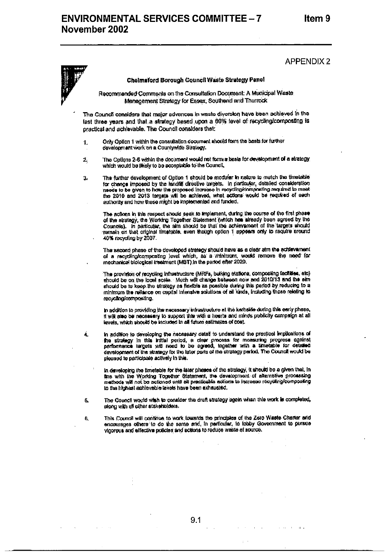## **APPENDIX 2**

À,

#### Chelmsford Borough Council Waste Strategy Panel

Recommended Comments on the Consultation Document: A Municipal Waste Management Strategy for Essex, Southend and Thurrock

The Council considers that major advances in waste diversion have been achieved in the last three years and that a strategy based upon a 60% level of recycling/composting is practical and achievable. The Council considers that:

- Only Option 1 within the consultation document should form the basis for further 1. development work on a Countywide Strategy.
- The Options 2-6 within the document would not form a basis for development of a strategy  $\mathbf{2}_1$ which would be likely to be ecceptable to the Council,
- 3. The further development of Option 1 should be modular in nations to match the timetable for change imposed by the landfit directive targets. In particular, detailed consideration reads to be given to how the proposed increase in recycling/composting required to meet the 2010 and 2013 temats will be achieved, what actions would be required of each authority and how these might be implemented and funded.

The actions in this respect should seek to implement, during the course of the first phase of the strategy, the Working Together Statement (which her stready been agreed by the Councilis). In particular, the aim should be that the achievament of the targets should remain on that original timatable, even though option 1 appears only to require around 40% recycling by 2007.

The second phase of the developed strategy should have as a clear aim the echievament of a recycling/composting level which, as a reinimum, would remove the need for mechanical biological treatment (MBT) in the period efter 2020.

.<br>The provision of recycling infrastructure (MRFs, building stations, compositing facilities, etc) should be on the local scale. Much will change between now and 2010/13 and the oim should be to keep the efrategy as flexible as possible during this period by reducing to a minimum the reliance on capital intensive solutions of all kinds, including those relating to recycling/compositing.

in addition to providing the necessary intrastructure at the kerbside during this early phase. it will also be necessary to support this with a hearts and minos publicity campaign at all levels, which should be included in all future estimates of cost.

- In addition to developing the necessary datat to understand the practicel implications of the strategy in this artifal period, a clear process for measuring progress against performance largets with need to be egreed, together with a timetable for detailed development of the strategy for the later parts of the strategy parked. The Council would be pleased to participate actively in this.
	- In developing the timetable for the later phence of the stretegy, it should be a given that, in the with the Working Together Statement, the development of alternative processing methods will not be actioned until all practicable ections to increase recycling/composing to the highest achievable tavels have been exhausted.
- The Council would with to consider the draft strategy again whan this work is completed, 5. along with all other stakenoiders.
- This Council will continue to work towards the principles of the Zero Waste Charter and ₿. encourages others to do the same and, in particular, to tobby Government to pursue vinorous and effective policies and actions to reduce waste at source.